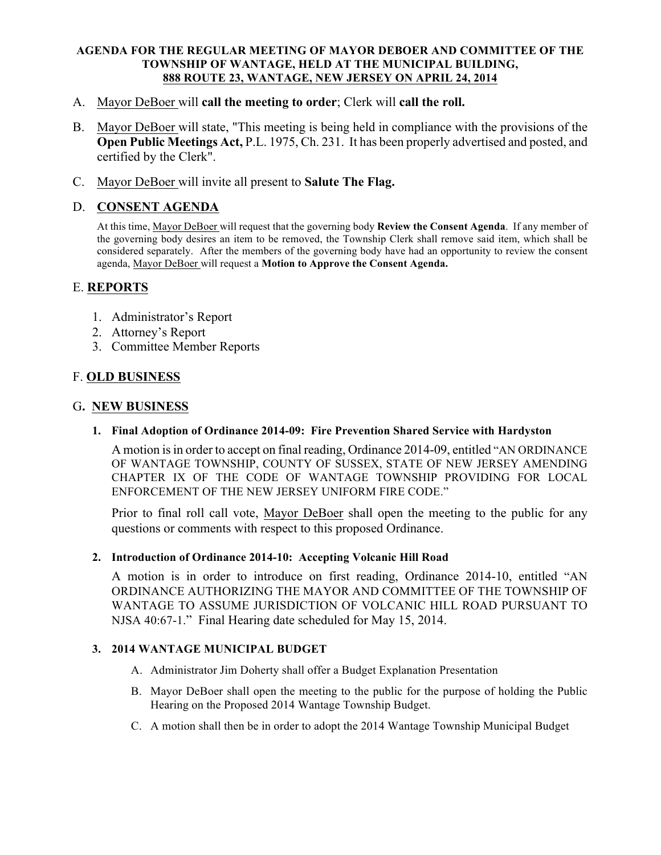#### AGENDA FOR THE REGULAR MEETING OF MAYOR DEBOER AND COMMITTEE OF THE TOWNSHIP OF WANTAGE, HELD AT THE MUNICIPAL BUILDING, 888 ROUTE 23, WANTAGE, NEW JERSEY ON APRIL 24, 2014

- A. Mayor DeBoer will call the meeting to order; Clerk will call the roll.
- B. Mayor DeBoer will state, "This meeting is being held in compliance with the provisions of the Open Public Meetings Act, P.L. 1975, Ch. 231. It has been properly advertised and posted, and certified by the Clerk".
- C. Mayor DeBoer will invite all present to Salute The Flag.

# D. CONSENT AGENDA

At this time, Mayor DeBoer will request that the governing body Review the Consent Agenda. If any member of the governing body desires an item to be removed, the Township Clerk shall remove said item, which shall be considered separately. After the members of the governing body have had an opportunity to review the consent agenda, Mayor DeBoer will request a Motion to Approve the Consent Agenda.

## E. REPORTS

- 1. Administrator's Report
- 2. Attorney's Report
- 3. Committee Member Reports

# F. OLD BUSINESS

### G. NEW BUSINESS

1. Final Adoption of Ordinance 2014-09: Fire Prevention Shared Service with Hardyston

A motion is in order to accept on final reading, Ordinance 2014-09, entitled "AN ORDINANCE OF WANTAGE TOWNSHIP, COUNTY OF SUSSEX, STATE OF NEW JERSEY AMENDING CHAPTER IX OF THE CODE OF WANTAGE TOWNSHIP PROVIDING FOR LOCAL ENFORCEMENT OF THE NEW JERSEY UNIFORM FIRE CODE."

Prior to final roll call vote, Mayor DeBoer shall open the meeting to the public for any questions or comments with respect to this proposed Ordinance.

#### 2. Introduction of Ordinance 2014-10: Accepting Volcanic Hill Road

A motion is in order to introduce on first reading, Ordinance 2014-10, entitled "AN ORDINANCE AUTHORIZING THE MAYOR AND COMMITTEE OF THE TOWNSHIP OF WANTAGE TO ASSUME JURISDICTION OF VOLCANIC HILL ROAD PURSUANT TO NJSA 40:67-1." Final Hearing date scheduled for May 15, 2014.

#### 3. 2014 WANTAGE MUNICIPAL BUDGET

- A. Administrator Jim Doherty shall offer a Budget Explanation Presentation
- B. Mayor DeBoer shall open the meeting to the public for the purpose of holding the Public Hearing on the Proposed 2014 Wantage Township Budget.
- C. A motion shall then be in order to adopt the 2014 Wantage Township Municipal Budget